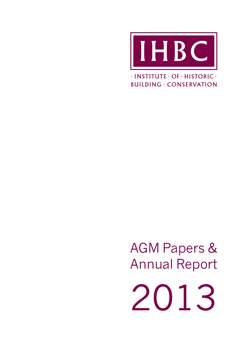

 $\cdot$ INSTITUTE  $\cdot$  OF  $\cdot$  HISTORIC  $\cdot$ **BUILDING · CONSERVATION** 

AGM Papers & Annual Report

2013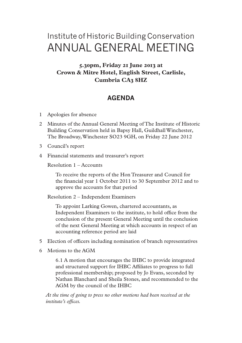# Institute of Historic Building Conservation ANNUAL GENERAL MEETING

# **5.30pm, Friday 21 June 2013 at Crown & Mitre Hotel, English Street, Carlisle, Cumbria CA3 8HZ**

# **AGENDA**

- 1 Apologies for absence
- 2 Minutes of the Annual General Meeting of The Institute of Historic Building Conservation held in Bapsy Hall, Guildhall Winchester, The Broadway, Winchester SO23 9GH, on Friday 22 June 2012
- 3 Council's report
- 4 Financial statements and treasurer's report

Resolution 1 – Accounts

To receive the reports of the Hon Treasurer and Council for the financial year 1 October 2011 to 30 September 2012 and to approve the accounts for that period

Resolution 2 – Independent Examiners

To appoint Larking Gowen, chartered accountants, as Independent Examiners to the institute, to hold office from the conclusion of the present General Meeting until the conclusion of the next General Meeting at which accounts in respect of an accounting reference period are laid

- 5 Election of officers including nomination of branch representatives
- 6 Motions to the AGM

6.1 A motion that encourages the IHBC to provide integrated and structured support for IHBC Affiliates to progress to full professional membership; proposed by Jo Evans, seconded by Nathan Blanchard and Sheila Stones, and recommended to the AGM by the council of the IHBC

*At the time of going to press no other motions had been received at the institute's offices.*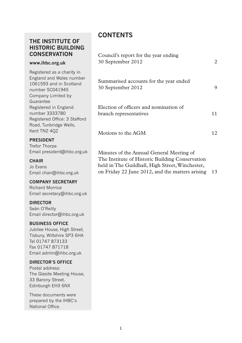# **THE INSTITUTE OF HISTORIC BUILDING CONSERVATION**

#### **www.ihbc.org.uk**

Registered as a charity in England and Wales number 1061593 and in Scotland number SC041945 Company Limited by **Guarantee** Registered in England number 3333780 Registered Office: 3 Stafford Road, Tunbridge Wells, Kent TN2 4QZ

### **PRESIDENT**

Trefor Thorpe Email president@ihbc.org.uk

#### **CHAIR**

Jo Evans Email chair@ihbc.org.uk

### **COMPANY SECRETARY**

Richard Morrice Email secretary@ihbc.org.uk

### **DIRECTOR**

Seán O'Reilly Email director@ihbc.org.uk

### **BUSINESS OFFICE**

Jubilee House, High Street, Tisbury, Wiltshire SP3 6HA Tel 01747 873133 Fax 01747 871718 Email admin@ihbc.org.uk

### **DIRECTOR'S OFFICE**

Postal address: The Glasite Meeting House, 33 Barony Street, Edinburgh EH3 6NX

These documents were prepared by the IHBC's National Office.

# **CONTENTS**

| Council's report for the year ending<br>30 September 2012        | 2  |
|------------------------------------------------------------------|----|
| Summarised accounts for the year ended<br>30 September 2012      |    |
| Election of officers and nomination of<br>branch representatives | 11 |
| Motions to the AGM                                               | 12 |

Minutes of the Annual General Meeting of The Institute of Historic Building Conservation held in The Guildhall, High Street, Winchester, on Friday 22 June 2012, and the matters arising 13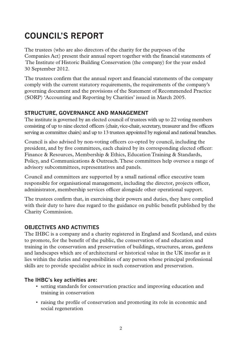# **COUNCIL'S REPORT**

The trustees (who are also directors of the charity for the purposes of the Companies Act) present their annual report together with the financial statements of The Institute of Historic Building Conservation (the company) for the year ended 30 September 2012.

The trustees confirm that the annual report and financial statements of the company comply with the current statutory requirements, the requirements of the company's governing document and the provisions of the Statement of Recommended Practice (SORP) 'Accounting and Reporting by Charities' issued in March 2005.

# **Structure, governance and management**

The institute is governed by an elected council of trustees with up to 22 voting members consisting of up to nine elected officers (chair, vice-chair, secretary, treasurer and five officers serving as committee chairs) and up to 13 trustees appointed by regional and national branches.

Council is also advised by non-voting officers co-opted by council, including the president, and by five committees, each chaired by its corresponding elected officer: Finance & Resources, Membership & Ethics, Education Training & Standards, Policy, and Communications & Outreach. These committees help oversee a range of advisory subcommittees, representatives and panels.

Council and committees are supported by a small national office executive team responsible for organisational management, including the director, projects officer, administrator, membership services officer alongside other operational support.

The trustees confirm that, in exercising their powers and duties, they have complied with their duty to have due regard to the guidance on public benefit published by the Charity Commission.

# **Objectives and activities**

The IHBC is a company and a charity registered in England and Scotland, and exists to promote, for the benefit of the public, the conservation of and education and training in the conservation and preservation of buildings, structures, areas, gardens and landscapes which are of architectural or historical value in the UK insofar as it lies within the duties and responsibilities of any person whose principal professional skills are to provide specialist advice in such conservation and preservation.

# **The IHBC's key activities are:**

- setting standards for conservation practice and improving education and training in conservation
- raising the profile of conservation and promoting its role in economic and social regeneration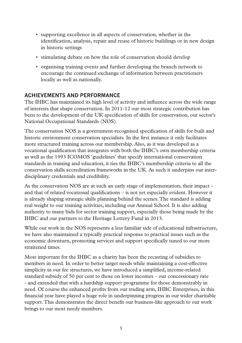- supporting excellence in all aspects of conservation, whether in the identification, analysis, repair and reuse of historic buildings or in new design in historic settings
- stimulating debate on how the role of conservation should develop
- organising training events and further developing the branch network to encourage the continued exchange of information between practitioners locally as well as nationally.

### **Achievements and performance**

The IHBC has maintained its high level of activity and influence across the wide range of interests that shape conservation. In 2011-12 our most strategic contribution has been to the development of the UK specification of skills for conservation, our sector's National Occupational Standards (NOS).

The conservation NOS is a government-recognised specification of skills for built and historic environment conservation specialists. In the first instance it only facilitates more structured training across our membership. Also, as it was developed as a vocational qualification that integrates with both the IHBC's own membership criteria as well as the 1993 ICOMOS 'guidelines' that specify international conservation standards in training and education, it ties the IHBC's membership criteria to all the conservation skills accreditation frameworks in the UK. As such it underpins our interdisciplinary credentials and credibility.

As the conservation NOS are at such an early stage of implementation, their impact and that of related vocational qualifications – is not yet especially evident. However it is already shaping strategic skills planning behind the scenes. The standard is adding real weight to our training activities, including our Annual School. It is also adding authority to many bids for sector training support, especially those being made by the IHBC and our partners to the Heritage Lottery Fund in 2013.

While our work in the NOS represents a less familiar side of educational infrastructure, we have also maintained a typically practical response to practical issues such as the economic downturn, promoting services and support specifically tuned to our more straitened times.

Most important for the IHBC as a charity has been the recasting of subsidies to members in need. In order to better target needs while maintaining a cost-effective simplicity in our fee structures, we have introduced a simplified, income-related standard subsidy of 50 per cent to those on lower incomes – our concessionary rate - and extended that with a hardship support programme for those demonstrably in need. Of course the enhanced profits from our trading arm, IHBC Enterprises, in this financial year have played a huge role in underpinning progress in our wider charitable support. This demonstrates the direct benefit our business-like approach to our work brings to our most needy members.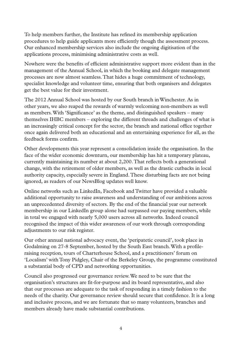To help members further, the Institute has refined its membership application procedures to help guide applicants more efficiently though the assessment process. Our enhanced membership services also include the ongoing digitisation of the applications process, minimising administrative costs as well.

Nowhere were the benefits of efficient administrative support more evident than in the management of the Annual School, in which the booking and delegate management processes are now almost seamless. That hides a huge commitment of technology, specialist knowledge and volunteer time, ensuring that both organisers and delegates get the best value for their investment.

The 2012 Annual School was hosted by our South branch in Winchester. As in other years, we also reaped the rewards of warmly welcoming non-members as well as members. With 'Significance' as the theme, and distinguished speakers – many themselves IHBC members – exploring the different threads and challenges of what is an increasingly critical concept for the sector, the branch and national office together once again delivered both an educational and an entertaining experience for all, as the feedback forms confirm.

Other developments this year represent a consolidation inside the organisation. In the face of the wider economic downturn, our membership has hit a temporary plateau, currently maintaining its number at about 2,200. That reflects both a generational change, with the retirement of older members, as well as the drastic cutbacks in local authority capacity, especially severe in England. These disturbing facts are not being ignored, as readers of our NewsBlog updates well know.

Online networks such as LinkedIn, Facebook and Twitter have provided a valuable additional opportunity to raise awareness and understanding of our ambitions across an unprecedented diversity of sectors. By the end of the financial year our network membership in our LinkedIn group alone had surpassed our paying members, while in total we engaged with nearly 5,000 users across all networks. Indeed council recognised the impact of this wider awareness of our work through corresponding adjustments to our risk register.

Our other annual national advocacy event, the 'peripatetic council', took place in Godalming on 27-8 September, hosted by the South East branch. With a profileraising reception, tours of Charterhouse School, and a practitioners' forum on 'Localism' with Tony Pidgley, Chair of the Berkeley Group, the programme constituted a substantial body of CPD and networking opportunities.

Council also progressed our governance review. We need to be sure that the organisation's structures are fit-for-purpose and its board representative, and also that our processes are adequate to the task of responding in a timely fashion to the needs of the charity. Our governance review should secure that confidence. It is a long and inclusive process, and we are fortunate that so many volunteers, branches and members already have made substantial contributions.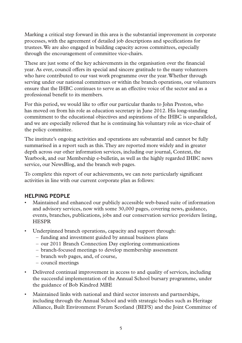Marking a critical step forward in this area is the substantial improvement in corporate processes, with the agreement of detailed job descriptions and specifications for trustees. We are also engaged in building capacity across committees, especially through the encouragement of committee vice-chairs.

These are just some of the key achievements in the organisation over the financial year. As ever, council offers its special and sincere gratitude to the many volunteers who have contributed to our vast work programme over the year. Whether through serving under our national committees or within the branch operations, our volunteers ensure that the IHBC continues to serve as an effective voice of the sector and as a professional benefit to its members.

For this period, we would like to offer our particular thanks to John Preston, who has moved on from his role as education secretary in June 2012. His long-standing commitment to the educational objectives and aspirations of the IHBC is unparalleled, and we are especially relieved that he is continuing his voluntary role as vice-chair of the policy committee.

The institute's ongoing activities and operations are substantial and cannot be fully summarised in a report such as this. They are reported more widely and in greater depth across our other information services, including our journal, Context, the Yearbook, and our Membership e-bulletin, as well as the highly regarded IHBC news service, our NewsBlog, and the branch web pages.

To complete this report of our achievements, we can note particularly significant activities in line with our current corporate plan as follows:

# **HELPING PEOPLE**

- Maintained and enhanced our publicly accessible web-based suite of information and advisory services, now with some 30,000 pages, covering news, guidance, events, branches, publications, jobs and our conservation service providers listing, **HESPR**
- Underpinned branch operations, capacity and support through:
	- funding and investment guided by annual business plans
	- our 2011 Branch Connection Day exploring communications
	- branch-focused meetings to develop membership assessment
	- branch web pages, and, of course,
	- council meetings
- Delivered continual improvement in access to and quality of services, including the successful implementation of the Annual School bursary programme, under the guidance of Bob Kindred MBE
- Maintained links with national and third sector interests and partnerships, including through the Annual School and with strategic bodies such as Heritage Alliance, Built Environment Forum Scotland (BEFS) and the Joint Committee of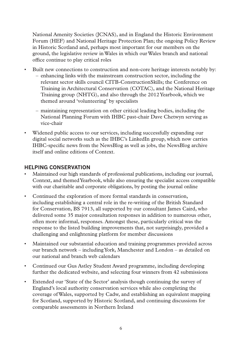National Amenity Societies (JCNAS), and in England the Historic Environment Forum (HEF) and National Heritage Protection Plan; the ongoing Policy Review in Historic Scotland and, perhaps most important for our members on the ground, the legislative review in Wales in which our Wales branch and national office continue to play critical roles

- Built new connections to construction and non-core heritage interests notably by: – enhancing links with the mainstream construction sector, including the relevant sector skills council CITB-ConstructionSkills; the Conference on Training in Architectural Conservation (COTAC), and the National Heritage Training group (NHTG), and also through the 2012 Yearbook, which we themed around 'volunteering' by specialists
	- maintaining representation on other critical leading bodies, including the National Planning Forum with IHBC past-chair Dave Chetwyn serving as vice-chair
- Widened public access to our services, including successfully expanding our digital social networks such as the IHBC's LinkedIn group, which now carries IHBC-specific news from the NewsBlog as well as jobs, the NewsBlog archive itself and online editions of Context.

# **HELPING CONSERVATION**

- Maintained our high standards of professional publications, including our journal, Context, and themed Yearbook, while also ensuring the specialist access compatible with our charitable and corporate obligations, by posting the journal online
- Continued the exploration of more formal standards in conservation, including establishing a central role in the re-writing of the British Standard for Conservation, BS 7913, all supported by our consultant James Caird, who delivered some 35 major consultation responses in addition to numerous other, often more informal, responses. Amongst these, particularly critical was the response to the listed building improvements that, not surprisingly, provided a challenging and enlightening platform for member discussions
- Maintained our substantial education and training programmes provided across our branch network – including York, Manchester and London – as detailed on our national and branch web calendars
- Continued our Gus Astley Student Award programme, including developing further the dedicated website, and selecting four winners from 42 submissions
- Extended our 'State of the Sector' analysis though continuing the survey of England's local authority conservation services while also completing the coverage of Wales, supported by Cadw, and establishing an equivalent mapping for Scotland, supported by Historic Scotland, and continuing discussions for comparable assessments in Northern Ireland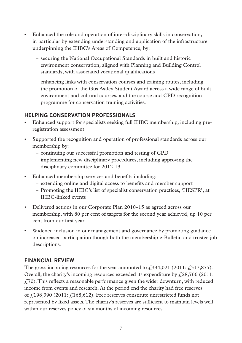- Enhanced the role and operation of inter-disciplinary skills in conservation, in particular by extending understanding and application of the infrastructure underpinning the IHBC's Areas of Competence, by:
	- securing the National Occupational Standards in built and historic environment conservation, aligned with Planning and Building Control standards, with associated vocational qualifications
	- enhancing links with conservation courses and training routes, including the promotion of the Gus Astley Student Award across a wide range of built environment and cultural courses, and the course and CPD recognition programme for conservation training activities.

### **HELPING CONSERVATION PROFESSIONALS**

- Enhanced support for specialists seeking full IHBC membership, including preregistration assessment
- Supported the recognition and operation of professional standards across our membership by:
	- continuing our successful promotion and testing of CPD
	- implementing new disciplinary procedures, including approving the disciplinary committee for 2012-13
- Enhanced membership services and benefits including:
	- extending online and digital access to benefits and member support
	- Promoting the IHBC's list of specialist conservation practices, 'HESPR', at IHBC-linked events
- Delivered actions in our Corporate Plan 2010–15 as agreed across our membership, with 80 per cent of targets for the second year achieved, up 10 per cent from our first year
- Widened inclusion in our management and governance by promoting guidance on increased participation though both the membership e-Bulletin and trustee job descriptions.

# **FINANCIAL REVIEW**

The gross incoming resources for the year amounted to  $\ell$  534,021 (2011:  $\ell$  317,875). Overall, the charity's incoming resources exceeded its expenditure by  $\ell$  28,766 (2011:  $f(70)$ . This reflects a reasonable performance given the wider downturn, with reduced income from events and research. At the period end the charity had free reserves of  $\hat{L}$ 198,390 (2011:  $\hat{L}$ 168,612). Free reserves constitute unrestricted funds not represented by fixed assets. The charity's reserves are sufficient to maintain levels well within our reserves policy of six months of incoming resources.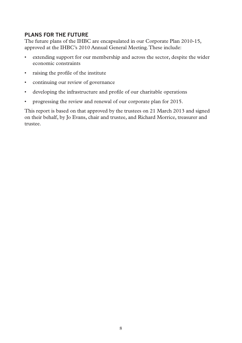# **PLANS FOR THE FUTURE**

The future plans of the IHBC are encapsulated in our Corporate Plan 2010-15, approved at the IHBC's 2010 Annual General Meeting. These include:

- extending support for our membership and across the sector, despite the wider economic constraints
- raising the profile of the institute
- continuing our review of governance
- developing the infrastructure and profile of our charitable operations
- progressing the review and renewal of our corporate plan for 2015.

This report is based on that approved by the trustees on 21 March 2013 and signed on their behalf, by Jo Evans, chair and trustee, and Richard Morrice, treasurer and trustee.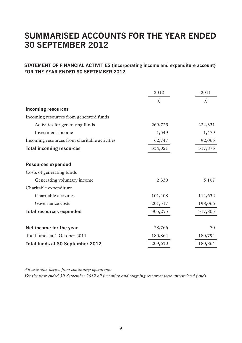# **SUMMARISED Accounts for the year ended 30 September 2012**

### **STATEMENT OF FINANCIAL ACTIVITIES (incorporating income and expenditure account) FOR THE YEAR ENDED 30 SEPTEMBER 2012**

|                                               | 2012    | 2011    |
|-----------------------------------------------|---------|---------|
|                                               | £,      | £,      |
| Incoming resources                            |         |         |
| Incoming resources from generated funds       |         |         |
| Activities for generating funds               | 269,725 | 224,331 |
| Investment income                             | 1,549   | 1,479   |
| Incoming resources from charitable activities | 62,747  | 92,065  |
| <b>Total incoming resources</b>               | 334,021 | 317,875 |
| <b>Resources expended</b>                     |         |         |
| Costs of generating funds                     |         |         |
| Generating voluntary income                   | 2,330   | 5,107   |
| Charitable expenditure                        |         |         |
| Charitable activities                         | 101,408 | 114,632 |
| Governance costs                              | 201,517 | 198,066 |
| <b>Total resources expended</b>               | 305,255 | 317,805 |
|                                               |         |         |
| Net income for the year                       | 28,766  | 70      |
| Total funds at 1 October 2011                 | 180,864 | 180,794 |
| Total funds at 30 September 2012              | 209,630 | 180,864 |

*All activities derive from continuing operations. For the year ended 30 September 2012 all incoming and outgoing resources were unrestricted funds.*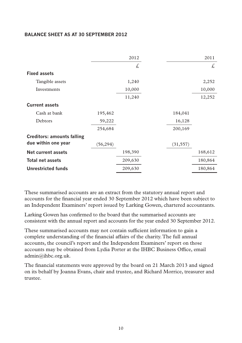### **BALANCE SHEET AS AT 30 SEPTEMBER 2012**

|                                   |           | 2012    |           | 2011    |
|-----------------------------------|-----------|---------|-----------|---------|
|                                   |           | £,      |           | £.      |
| <b>Fixed assets</b>               |           |         |           |         |
| Tangible assets                   |           | 1,240   |           | 2,252   |
| Investments                       |           | 10,000  |           | 10,000  |
|                                   |           | 11,240  |           | 12,252  |
| <b>Current assets</b>             |           |         |           |         |
| Cash at bank                      | 195,462   |         | 184,041   |         |
| Debtors                           | 59,222    |         | 16,128    |         |
|                                   | 254,684   |         | 200,169   |         |
| <b>Creditors: amounts falling</b> |           |         |           |         |
| due within one year               | (56, 294) |         | (31, 557) |         |
| Net current assets                |           | 198,390 |           | 168,612 |
| <b>Total net assets</b>           |           | 209,630 |           | 180,864 |
| <b>Unrestricted funds</b>         |           | 209,630 |           | 180,864 |

These summarised accounts are an extract from the statutory annual report and accounts for the financial year ended 30 September 2012 which have been subject to an Independent Examiners' report issued by Larking Gowen, chartered accountants.

Larking Gowen has confirmed to the board that the summarised accounts are consistent with the annual report and accounts for the year ended 30 September 2012.

These summarised accounts may not contain sufficient information to gain a complete understanding of the financial affairs of the charity. The full annual accounts, the council's report and the Independent Examiners' report on those accounts may be obtained from Lydia Porter at the IHBC Business Office, email admin@ihbc.org.uk.

The financial statements were approved by the board on 21 March 2013 and signed on its behalf by Joanna Evans, chair and trustee, and Richard Morrice, treasurer and trustee.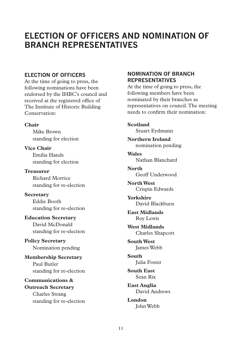# **ELECTION OF OFFICERS AND NOMINATION OF BRANCH REPRESENTATIVES**

### **ELECTION OF OFFICERS**

At the time of going to press, the following nominations have been endorsed by the IHBC's council and received at the registered office of The Institute of Historic Building Conservation:

### **Chair**

Mike Brown standing for election

**Vice Chair** Emilia Hands standing for election

**Treasurer** Richard Morrice standing for re-election

**Secretary** Eddie Booth standing for re-election

**Education Secretary** David McDonald standing for re-election

**Policy Secretary** Nomination pending

**Membership Secretary** Paul Butler standing for re-election

**Communications & Outreach Secretary** Charles Strang standing for re-election

### **NOMINATION OF BRANCH REPRESENTATIVES**

At the time of going to press, the following members have been nominated by their branches as representatives on council. The meeting needs to confirm their nomination:

**Scotland** Stuart Eydmann

**Northern Ireland** nomination pending

**Wales** Nathan Blanchard

**North** Geoff Underwood

**North West** Crispin Edwards

**Yorkshire** David Blackburn

**East Midlands** Roy Lewis

**West Midlands** Charles Shapcott

**South West** James Webb

**South** Julia Foster

**South East** Sean Rix

**East Anglia** David Andrews

**London** John Webb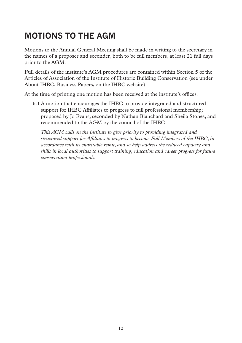# **MOTIONS TO THE AGM**

Motions to the Annual General Meeting shall be made in writing to the secretary in the names of a proposer and seconder, both to be full members, at least 21 full days prior to the AGM.

Full details of the institute's AGM procedures are contained within Section 5 of the Articles of Association of the Institute of Historic Building Conservation (see under About IHBC, Business Papers, on the IHBC website).

At the time of printing one motion has been received at the institute's offices.

6.1 A motion that encourages the IHBC to provide integrated and structured support for IHBC Affiliates to progress to full professional membership; proposed by Jo Evans, seconded by Nathan Blanchard and Sheila Stones, and recommended to the AGM by the council of the IHBC

*This AGM calls on the institute to give priority to providing integrated and structured support for Affiliates to progress to become Full Members of the IHBC, in accordance with its charitable remit, and so help address the reduced capacity and skills in local authorities to support training, education and career progress for future conservation professionals.*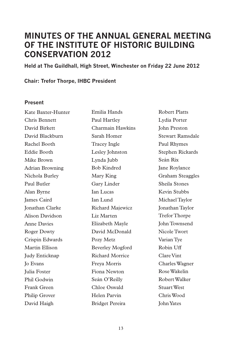# **Minutes of the Annual General Meeting of The Institute of Historic Building Conservation 2012**

**Held at The Guildhall, High Street, Winchester on Friday 22 June 2012** 

### **Chair: Trefor Thorpe, IHBC President**

### **Present**

Kate Baxter-Hunter Chris Bennett David Birkett David Blackburn Rachel Booth Eddie Booth Mike Brown Adrian Browning Nichola Burley Paul Butler Alan Byrne James Caird Jonathan Clarke Alison Davidson Anne Davies Roger Dowty Crispin Edwards Martin Ellison Judy Enticknap Jo Evans Julia Foster Phil Godwin Frank Green Philip Grover David Haigh

Emilia Hands Paul Hartley Charmain Hawkins Sarah Homer Tracey Ingle Lesley Johnston Lynda Jubb Bob Kindred Mary King Gary Linder Ian Lucas Ian Lund Richard Majewicz Liz Marten Elizabeth Mayle David McDonald Pozy Metz Beverley Mogford Richard Morrice Freya Morris Fiona Newton Seán O'Reilly Chloe Oswald Helen Parvin Bridget Pereira

Robert Platts Lydia Porter John Preston Stewart Ramsdale Paul Rhymes Stephen Rickards Seán Rix Jane Roylance Graham Steaggles Sheila Stones Kevin Stubbs Michael Taylor Jonathan Taylor Trefor Thorpe John Townsend Nicole Twort Varian Tye Robin Uff Clare Vint Charles Wagner Rose Wakelin Robert Walker Stuart West Chris Wood John Yates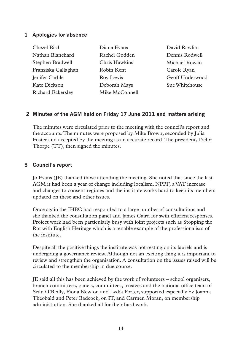### **1 Apologies for absence**

| Chezel Bird         | Diana Evans    | David Rawlins   |
|---------------------|----------------|-----------------|
| Nathan Blanchard    | Rachel Godden  | Dennis Rodwell  |
| Stephen Bradwell    | Chris Hawkins  | Michael Rowan   |
| Franziska Callaghan | Robin Kent     | Carole Ryan     |
| Jenifer Carlile     | Roy Lewis      | Geoff Underwood |
| Kate Dickson        | Deborah Mays   | Sue Whitehouse  |
| Richard Eckersley   | Mike McConnell |                 |

### **2 Minutes of the AGM held on Friday 17 June 2011 and matters arising**

The minutes were circulated prior to the meeting with the council's report and the accounts. The minutes were proposed by Mike Brown, seconded by Julia Foster and accepted by the meeting as an accurate record. The president, Trefor Thorpe (TT), then signed the minutes.

### **3 Council's report**

Jo Evans (JE) thanked those attending the meeting. She noted that since the last AGM it had been a year of change including localism, NPPF, a VAT increase and changes to consent regimes and the institute works hard to keep its members updated on these and other issues.

Once again the IHBC had responded to a large number of consultations and she thanked the consultation panel and James Caird for swift efficient responses. Project work had been particularly busy with joint projects such as Stopping the Rot with English Heritage which is a tenable example of the professionalism of the institute.

Despite all the positive things the institute was not resting on its laurels and is undergoing a governance review. Although not an exciting thing it is important to review and strengthen the organisation. A consultation on the issues raised will be circulated to the membership in due course.

JE said all this has been achieved by the work of volunteers – school organisers, branch committees, panels, committees, trustees and the national office team of Seán O'Reilly, Fiona Newton and Lydia Porter, supported especially by Joanna Theobald and Peter Badcock, on IT, and Carmen Moran, on membership administration. She thanked all for their hard work.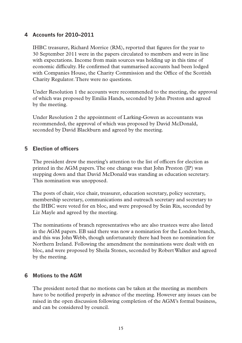### **4 Accounts for 2010–2011**

IHBC treasurer, Richard Morrice (RM), reported that figures for the year to 30 September 2011 were in the papers circulated to members and were in line with expectations. Income from main sources was holding up in this time of economic difficulty. He confirmed that summarised accounts had been lodged with Companies House, the Charity Commission and the Office of the Scottish Charity Regulator. There were no questions.

Under Resolution 1 the accounts were recommended to the meeting, the approval of which was proposed by Emilia Hands, seconded by John Preston and agreed by the meeting.

Under Resolution 2 the appointment of Larking-Gowen as accountants was recommended, the approval of which was proposed by David McDonald, seconded by David Blackburn and agreed by the meeting.

### **5 Election of officers**

The president drew the meeting's attention to the list of officers for election as printed in the AGM papers. The one change was that John Preston (JP) was stepping down and that David McDonald was standing as education secretary. This nomination was unopposed.

The posts of chair, vice chair, treasurer, education secretary, policy secretary, membership secretary, communications and outreach secretary and secretary to the IHBC were voted for en bloc, and were proposed by Seán Rix, seconded by Liz Mayle and agreed by the meeting.

The nominations of branch representatives who are also trustees were also listed in the AGM papers. EB said there was now a nomination for the London branch, and this was John Webb, though unfortunately there had been no nomination for Northern Ireland. Following the amendment the nominations were dealt with en bloc, and were proposed by Sheila Stones, seconded by Robert Walker and agreed by the meeting.

### **6 Motions to the AGM**

The president noted that no motions can be taken at the meeting as members have to be notified properly in advance of the meeting. However any issues can be raised in the open discussion following completion of the AGM's formal business, and can be considered by council.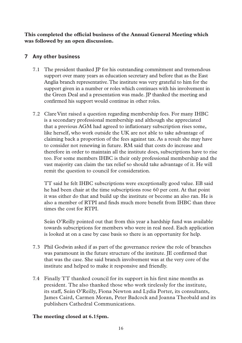**This completed the official business of the Annual General Meeting which was followed by an open discussion.**

### **7 Any other business**

- 7.1 The president thanked JP for his outstanding commitment and tremendous support over many years as education secretary and before that as the East Anglia branch representative. The institute was very grateful to him for the support given in a number or roles which continues with his involvement in the Green Deal and a presentation was made. JP thanked the meeting and confirmed his support would continue in other roles.
- 7.2 Clare Vint raised a question regarding membership fees. For many IHBC is a secondary professional membership and although she appreciated that a previous AGM had agreed to inflationary subscription rises some, like herself, who work outside the UK are not able to take advantage of claiming back a proportion of the fees against tax. As a result she may have to consider not renewing in future. RM said that costs do increase and therefore in order to maintain all the institute does, subscriptions have to rise too. For some members IHBC is their only professional membership and the vast majority can claim the tax relief so should take advantage of it. He will remit the question to council for consideration.

TT said he felt IHBC subscriptions were exceptionally good value. EB said he had been chair at the time subscriptions rose 60 per cent. At that point it was either do that and build up the institute or become an also ran. He is also a member of RTPI and finds much more benefit from IHBC than three times the cost for RTPI.

Seán O'Reilly pointed out that from this year a hardship fund was available towards subscriptions for members who were in real need. Each application is looked at on a case by case basis so there is an opportunity for help.

- 7.3 Phil Godwin asked if as part of the governance review the role of branches was paramount in the future structure of the institute. JE confirmed that that was the case. She said branch involvement was at the very core of the institute and helped to make it responsive and friendly.
- 7.4 Finally TT thanked council for its support in his first nine months as president. The also thanked those who work tirelessly for the institute, its staff, Seán O'Reilly, Fiona Newton and Lydia Porter, its consultants, James Caird, Carmen Moran, Peter Badcock and Joanna Theobald and its publishers Cathedral Communications.

### **The meeting closed at 6.15pm.**